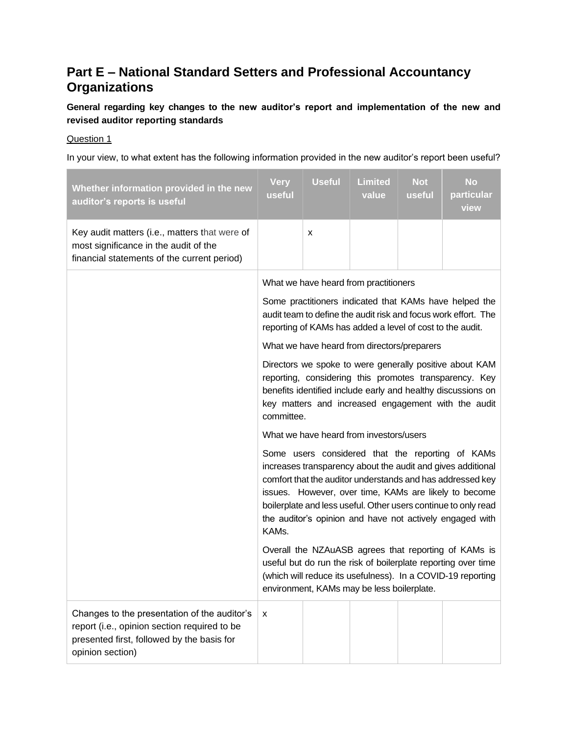# **Part E – National Standard Setters and Professional Accountancy Organizations**

**General regarding key changes to the new auditor's report and implementation of the new and revised auditor reporting standards**

# Question 1

In your view, to what extent has the following information provided in the new auditor's report been useful?

| Whether information provided in the new<br>auditor's reports is useful                                                                                         | <b>Very</b><br>useful                                                                                                                                                                                                                                                                                                                                                         | <b>Useful</b> | <b>Limited</b><br>value                 | <b>Not</b><br>useful | <b>No</b><br>particular<br>view |
|----------------------------------------------------------------------------------------------------------------------------------------------------------------|-------------------------------------------------------------------------------------------------------------------------------------------------------------------------------------------------------------------------------------------------------------------------------------------------------------------------------------------------------------------------------|---------------|-----------------------------------------|----------------------|---------------------------------|
| Key audit matters (i.e., matters that were of<br>most significance in the audit of the<br>financial statements of the current period)                          |                                                                                                                                                                                                                                                                                                                                                                               | X             |                                         |                      |                                 |
|                                                                                                                                                                | What we have heard from practitioners                                                                                                                                                                                                                                                                                                                                         |               |                                         |                      |                                 |
|                                                                                                                                                                | Some practitioners indicated that KAMs have helped the<br>audit team to define the audit risk and focus work effort. The<br>reporting of KAMs has added a level of cost to the audit.                                                                                                                                                                                         |               |                                         |                      |                                 |
|                                                                                                                                                                | What we have heard from directors/preparers                                                                                                                                                                                                                                                                                                                                   |               |                                         |                      |                                 |
|                                                                                                                                                                | Directors we spoke to were generally positive about KAM<br>reporting, considering this promotes transparency. Key<br>benefits identified include early and healthy discussions on<br>key matters and increased engagement with the audit<br>committee.                                                                                                                        |               |                                         |                      |                                 |
|                                                                                                                                                                |                                                                                                                                                                                                                                                                                                                                                                               |               | What we have heard from investors/users |                      |                                 |
|                                                                                                                                                                | Some users considered that the reporting of KAMs<br>increases transparency about the audit and gives additional<br>comfort that the auditor understands and has addressed key<br>issues. However, over time, KAMs are likely to become<br>boilerplate and less useful. Other users continue to only read<br>the auditor's opinion and have not actively engaged with<br>KAMs. |               |                                         |                      |                                 |
|                                                                                                                                                                | Overall the NZAuASB agrees that reporting of KAMs is<br>useful but do run the risk of boilerplate reporting over time<br>(which will reduce its usefulness). In a COVID-19 reporting<br>environment, KAMs may be less boilerplate.                                                                                                                                            |               |                                         |                      |                                 |
| Changes to the presentation of the auditor's<br>report (i.e., opinion section required to be<br>presented first, followed by the basis for<br>opinion section) | $\pmb{\chi}$                                                                                                                                                                                                                                                                                                                                                                  |               |                                         |                      |                                 |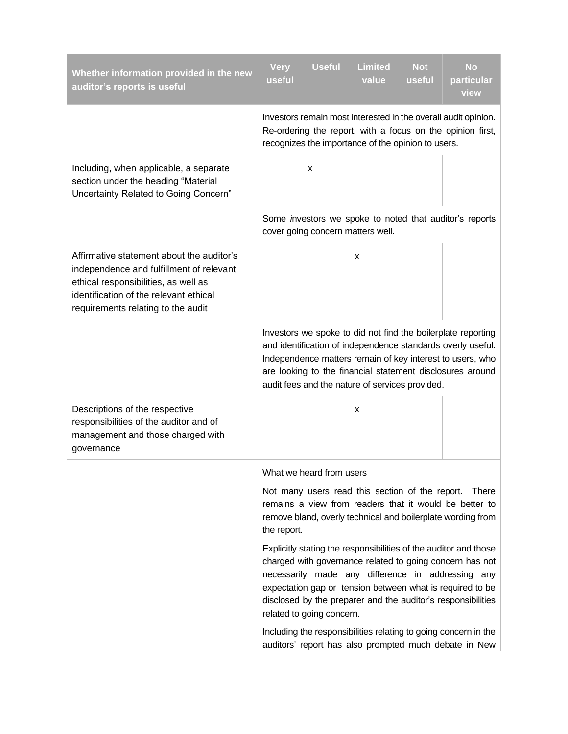| Whether information provided in the new<br>auditor's reports is useful                                                                                                                                        | Very<br>useful                                                                                                                                                                                                                                                                                                                              | <b>Useful</b>            | <b>Limited</b><br>value | <b>Not</b><br>useful | <b>No</b><br>particular<br>view |
|---------------------------------------------------------------------------------------------------------------------------------------------------------------------------------------------------------------|---------------------------------------------------------------------------------------------------------------------------------------------------------------------------------------------------------------------------------------------------------------------------------------------------------------------------------------------|--------------------------|-------------------------|----------------------|---------------------------------|
|                                                                                                                                                                                                               | Investors remain most interested in the overall audit opinion.<br>Re-ordering the report, with a focus on the opinion first,<br>recognizes the importance of the opinion to users.                                                                                                                                                          |                          |                         |                      |                                 |
| Including, when applicable, a separate<br>section under the heading "Material<br>Uncertainty Related to Going Concern"                                                                                        |                                                                                                                                                                                                                                                                                                                                             | X                        |                         |                      |                                 |
|                                                                                                                                                                                                               | Some investors we spoke to noted that auditor's reports<br>cover going concern matters well.                                                                                                                                                                                                                                                |                          |                         |                      |                                 |
| Affirmative statement about the auditor's<br>independence and fulfillment of relevant<br>ethical responsibilities, as well as<br>identification of the relevant ethical<br>requirements relating to the audit |                                                                                                                                                                                                                                                                                                                                             |                          | х                       |                      |                                 |
|                                                                                                                                                                                                               | Investors we spoke to did not find the boilerplate reporting<br>and identification of independence standards overly useful.<br>Independence matters remain of key interest to users, who<br>are looking to the financial statement disclosures around<br>audit fees and the nature of services provided.                                    |                          |                         |                      |                                 |
| Descriptions of the respective<br>responsibilities of the auditor and of<br>management and those charged with<br>governance                                                                                   |                                                                                                                                                                                                                                                                                                                                             |                          | х                       |                      |                                 |
|                                                                                                                                                                                                               |                                                                                                                                                                                                                                                                                                                                             | What we heard from users |                         |                      |                                 |
|                                                                                                                                                                                                               | Not many users read this section of the report.<br>There<br>remains a view from readers that it would be better to<br>remove bland, overly technical and boilerplate wording from<br>the report.                                                                                                                                            |                          |                         |                      |                                 |
|                                                                                                                                                                                                               | Explicitly stating the responsibilities of the auditor and those<br>charged with governance related to going concern has not<br>necessarily made any difference in addressing any<br>expectation gap or tension between what is required to be<br>disclosed by the preparer and the auditor's responsibilities<br>related to going concern. |                          |                         |                      |                                 |
|                                                                                                                                                                                                               | Including the responsibilities relating to going concern in the<br>auditors' report has also prompted much debate in New                                                                                                                                                                                                                    |                          |                         |                      |                                 |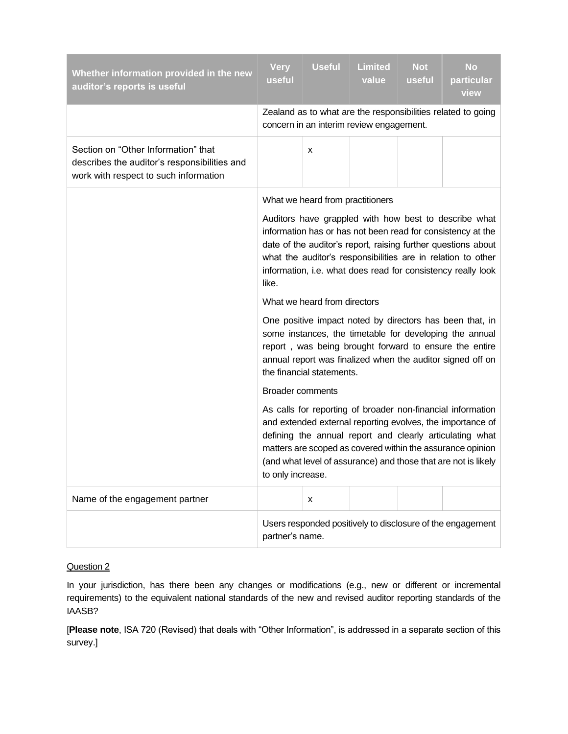| Whether information provided in the new<br>auditor's reports is useful                                                       | <b>Very</b><br>useful                                                                                                                                                                                                                                                                                                                      | <b>Useful</b> | <b>Limited</b><br>value                  | <b>Not</b><br>useful | <b>No</b><br>particular<br>view                              |
|------------------------------------------------------------------------------------------------------------------------------|--------------------------------------------------------------------------------------------------------------------------------------------------------------------------------------------------------------------------------------------------------------------------------------------------------------------------------------------|---------------|------------------------------------------|----------------------|--------------------------------------------------------------|
|                                                                                                                              |                                                                                                                                                                                                                                                                                                                                            |               | concern in an interim review engagement. |                      | Zealand as to what are the responsibilities related to going |
| Section on "Other Information" that<br>describes the auditor's responsibilities and<br>work with respect to such information |                                                                                                                                                                                                                                                                                                                                            | X             |                                          |                      |                                                              |
|                                                                                                                              | What we heard from practitioners                                                                                                                                                                                                                                                                                                           |               |                                          |                      |                                                              |
|                                                                                                                              | Auditors have grappled with how best to describe what<br>information has or has not been read for consistency at the<br>date of the auditor's report, raising further questions about<br>what the auditor's responsibilities are in relation to other<br>information, i.e. what does read for consistency really look<br>like.             |               |                                          |                      |                                                              |
|                                                                                                                              | What we heard from directors                                                                                                                                                                                                                                                                                                               |               |                                          |                      |                                                              |
|                                                                                                                              | One positive impact noted by directors has been that, in<br>some instances, the timetable for developing the annual<br>report, was being brought forward to ensure the entire<br>annual report was finalized when the auditor signed off on<br>the financial statements.                                                                   |               |                                          |                      |                                                              |
|                                                                                                                              | <b>Broader comments</b>                                                                                                                                                                                                                                                                                                                    |               |                                          |                      |                                                              |
|                                                                                                                              | As calls for reporting of broader non-financial information<br>and extended external reporting evolves, the importance of<br>defining the annual report and clearly articulating what<br>matters are scoped as covered within the assurance opinion<br>(and what level of assurance) and those that are not is likely<br>to only increase. |               |                                          |                      |                                                              |
| Name of the engagement partner                                                                                               |                                                                                                                                                                                                                                                                                                                                            | X             |                                          |                      |                                                              |
|                                                                                                                              | partner's name.                                                                                                                                                                                                                                                                                                                            |               |                                          |                      | Users responded positively to disclosure of the engagement   |

In your jurisdiction, has there been any changes or modifications (e.g., new or different or incremental requirements) to the equivalent national standards of the new and revised auditor reporting standards of the IAASB?

[**Please note**, ISA 720 (Revised) that deals with "Other Information", is addressed in a separate section of this survey.]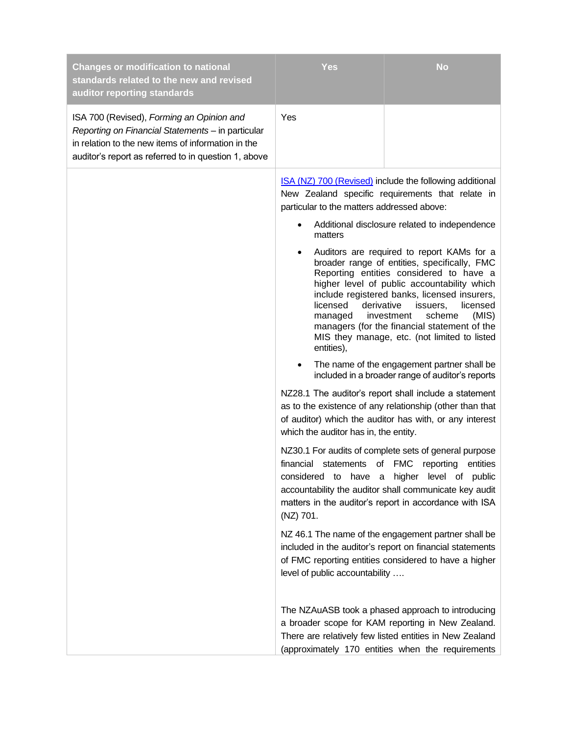| <b>Changes or modification to national</b><br>standards related to the new and revised<br>auditor reporting standards                                                                                        | <b>Yes</b>                                                                                                                                                                                                                         | <b>No</b>                                                                                                                                                                                                                                                                                                                                                                                                                                                                                                                                                                                                                                                                                                                                                                                                                                                                                                                                                                                                                                                                                                                                                                                                                                                                                                                              |
|--------------------------------------------------------------------------------------------------------------------------------------------------------------------------------------------------------------|------------------------------------------------------------------------------------------------------------------------------------------------------------------------------------------------------------------------------------|----------------------------------------------------------------------------------------------------------------------------------------------------------------------------------------------------------------------------------------------------------------------------------------------------------------------------------------------------------------------------------------------------------------------------------------------------------------------------------------------------------------------------------------------------------------------------------------------------------------------------------------------------------------------------------------------------------------------------------------------------------------------------------------------------------------------------------------------------------------------------------------------------------------------------------------------------------------------------------------------------------------------------------------------------------------------------------------------------------------------------------------------------------------------------------------------------------------------------------------------------------------------------------------------------------------------------------------|
| ISA 700 (Revised), Forming an Opinion and<br>Reporting on Financial Statements - in particular<br>in relation to the new items of information in the<br>auditor's report as referred to in question 1, above | Yes                                                                                                                                                                                                                                |                                                                                                                                                                                                                                                                                                                                                                                                                                                                                                                                                                                                                                                                                                                                                                                                                                                                                                                                                                                                                                                                                                                                                                                                                                                                                                                                        |
|                                                                                                                                                                                                              | particular to the matters addressed above:<br>matters<br>licensed<br>derivative<br>managed<br>entities),<br>which the auditor has in, the entity.<br>statements of FMC<br>financial<br>(NZ) 701.<br>level of public accountability | ISA (NZ) 700 (Revised) include the following additional<br>New Zealand specific requirements that relate in<br>Additional disclosure related to independence<br>Auditors are required to report KAMs for a<br>broader range of entities, specifically, FMC<br>Reporting entities considered to have a<br>higher level of public accountability which<br>include registered banks, licensed insurers,<br>issuers,<br>licensed<br>scheme<br>investment<br>(MIS)<br>managers (for the financial statement of the<br>MIS they manage, etc. (not limited to listed<br>The name of the engagement partner shall be<br>included in a broader range of auditor's reports<br>NZ28.1 The auditor's report shall include a statement<br>as to the existence of any relationship (other than that<br>of auditor) which the auditor has with, or any interest<br>NZ30.1 For audits of complete sets of general purpose<br>reporting<br>entities<br>considered to have a higher level of public<br>accountability the auditor shall communicate key audit<br>matters in the auditor's report in accordance with ISA<br>NZ 46.1 The name of the engagement partner shall be<br>included in the auditor's report on financial statements<br>of FMC reporting entities considered to have a higher<br>The NZAuASB took a phased approach to introducing |
|                                                                                                                                                                                                              |                                                                                                                                                                                                                                    | a broader scope for KAM reporting in New Zealand.<br>There are relatively few listed entities in New Zealand<br>(approximately 170 entities when the requirements                                                                                                                                                                                                                                                                                                                                                                                                                                                                                                                                                                                                                                                                                                                                                                                                                                                                                                                                                                                                                                                                                                                                                                      |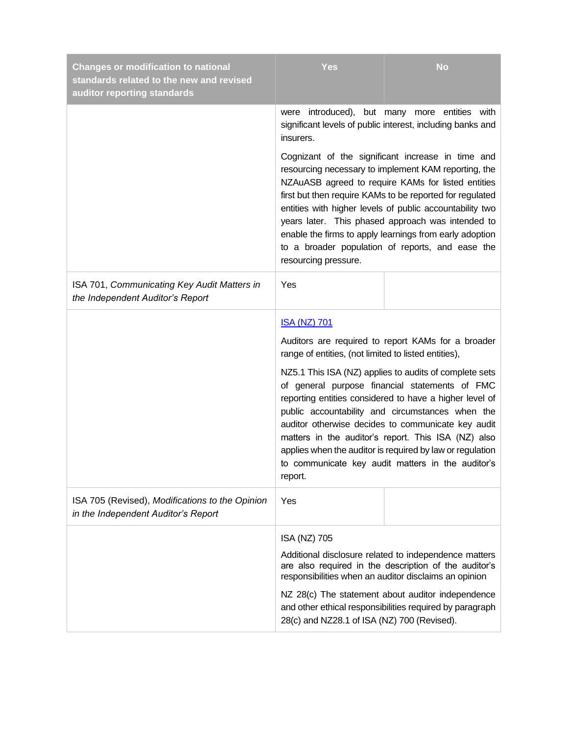| <b>Changes or modification to national</b><br>standards related to the new and revised<br>auditor reporting standards | <b>Yes</b>                                                                                                                                                                                                                                                                                                                                                                                                                                                                          | <b>No</b>                                                                                                                                                                                                                                                                                                                                                                                                                                              |  |  |
|-----------------------------------------------------------------------------------------------------------------------|-------------------------------------------------------------------------------------------------------------------------------------------------------------------------------------------------------------------------------------------------------------------------------------------------------------------------------------------------------------------------------------------------------------------------------------------------------------------------------------|--------------------------------------------------------------------------------------------------------------------------------------------------------------------------------------------------------------------------------------------------------------------------------------------------------------------------------------------------------------------------------------------------------------------------------------------------------|--|--|
|                                                                                                                       | were introduced), but many more entities with<br>significant levels of public interest, including banks and<br>insurers.                                                                                                                                                                                                                                                                                                                                                            |                                                                                                                                                                                                                                                                                                                                                                                                                                                        |  |  |
|                                                                                                                       | Cognizant of the significant increase in time and<br>resourcing necessary to implement KAM reporting, the<br>NZAuASB agreed to require KAMs for listed entities<br>first but then require KAMs to be reported for regulated<br>entities with higher levels of public accountability two<br>years later. This phased approach was intended to<br>enable the firms to apply learnings from early adoption<br>to a broader population of reports, and ease the<br>resourcing pressure. |                                                                                                                                                                                                                                                                                                                                                                                                                                                        |  |  |
| ISA 701, Communicating Key Audit Matters in<br>the Independent Auditor's Report                                       | Yes                                                                                                                                                                                                                                                                                                                                                                                                                                                                                 |                                                                                                                                                                                                                                                                                                                                                                                                                                                        |  |  |
|                                                                                                                       | <b>ISA (NZ) 701</b>                                                                                                                                                                                                                                                                                                                                                                                                                                                                 |                                                                                                                                                                                                                                                                                                                                                                                                                                                        |  |  |
|                                                                                                                       | Auditors are required to report KAMs for a broader<br>range of entities, (not limited to listed entities),                                                                                                                                                                                                                                                                                                                                                                          |                                                                                                                                                                                                                                                                                                                                                                                                                                                        |  |  |
|                                                                                                                       | report.                                                                                                                                                                                                                                                                                                                                                                                                                                                                             | NZ5.1 This ISA (NZ) applies to audits of complete sets<br>of general purpose financial statements of FMC<br>reporting entities considered to have a higher level of<br>public accountability and circumstances when the<br>auditor otherwise decides to communicate key audit<br>matters in the auditor's report. This ISA (NZ) also<br>applies when the auditor is required by law or regulation<br>to communicate key audit matters in the auditor's |  |  |
| ISA 705 (Revised), Modifications to the Opinion<br>in the Independent Auditor's Report                                | Yes                                                                                                                                                                                                                                                                                                                                                                                                                                                                                 |                                                                                                                                                                                                                                                                                                                                                                                                                                                        |  |  |
|                                                                                                                       | ISA (NZ) 705                                                                                                                                                                                                                                                                                                                                                                                                                                                                        |                                                                                                                                                                                                                                                                                                                                                                                                                                                        |  |  |
|                                                                                                                       |                                                                                                                                                                                                                                                                                                                                                                                                                                                                                     | Additional disclosure related to independence matters<br>are also required in the description of the auditor's<br>responsibilities when an auditor disclaims an opinion                                                                                                                                                                                                                                                                                |  |  |
|                                                                                                                       | 28(c) and NZ28.1 of ISA (NZ) 700 (Revised).                                                                                                                                                                                                                                                                                                                                                                                                                                         | NZ 28(c) The statement about auditor independence<br>and other ethical responsibilities required by paragraph                                                                                                                                                                                                                                                                                                                                          |  |  |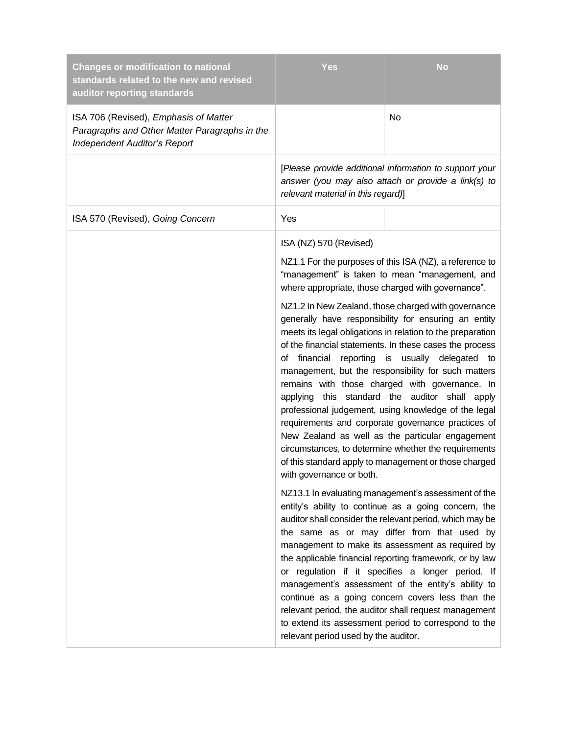| <b>Changes or modification to national</b><br>standards related to the new and revised<br>auditor reporting standards         | Yes                                                     | <b>No</b>                                                                                                                                                                                                                                                                                                                                                                                                                                                                                                                                                                                                                                                                                                         |
|-------------------------------------------------------------------------------------------------------------------------------|---------------------------------------------------------|-------------------------------------------------------------------------------------------------------------------------------------------------------------------------------------------------------------------------------------------------------------------------------------------------------------------------------------------------------------------------------------------------------------------------------------------------------------------------------------------------------------------------------------------------------------------------------------------------------------------------------------------------------------------------------------------------------------------|
| ISA 706 (Revised), Emphasis of Matter<br>Paragraphs and Other Matter Paragraphs in the<br><b>Independent Auditor's Report</b> |                                                         | No                                                                                                                                                                                                                                                                                                                                                                                                                                                                                                                                                                                                                                                                                                                |
|                                                                                                                               | relevant material in this regard)]                      | [Please provide additional information to support your<br>answer (you may also attach or provide a link(s) to                                                                                                                                                                                                                                                                                                                                                                                                                                                                                                                                                                                                     |
| ISA 570 (Revised), Going Concern                                                                                              | Yes                                                     |                                                                                                                                                                                                                                                                                                                                                                                                                                                                                                                                                                                                                                                                                                                   |
|                                                                                                                               | ISA (NZ) 570 (Revised)                                  |                                                                                                                                                                                                                                                                                                                                                                                                                                                                                                                                                                                                                                                                                                                   |
|                                                                                                                               | where appropriate, those charged with governance".      | NZ1.1 For the purposes of this ISA (NZ), a reference to<br>"management" is taken to mean "management, and                                                                                                                                                                                                                                                                                                                                                                                                                                                                                                                                                                                                         |
|                                                                                                                               | financial<br>of<br>applying<br>with governance or both. | NZ1.2 In New Zealand, those charged with governance<br>generally have responsibility for ensuring an entity<br>meets its legal obligations in relation to the preparation<br>of the financial statements. In these cases the process<br>reporting is usually delegated<br>to<br>management, but the responsibility for such matters<br>remains with those charged with governance. In<br>this standard the auditor shall apply<br>professional judgement, using knowledge of the legal<br>requirements and corporate governance practices of<br>New Zealand as well as the particular engagement<br>circumstances, to determine whether the requirements<br>of this standard apply to management or those charged |
|                                                                                                                               | relevant period used by the auditor.                    | NZ13.1 In evaluating management's assessment of the<br>entity's ability to continue as a going concern, the<br>auditor shall consider the relevant period, which may be<br>the same as or may differ from that used by<br>management to make its assessment as required by<br>the applicable financial reporting framework, or by law<br>or regulation if it specifies a longer period. If<br>management's assessment of the entity's ability to<br>continue as a going concern covers less than the<br>relevant period, the auditor shall request management<br>to extend its assessment period to correspond to the                                                                                             |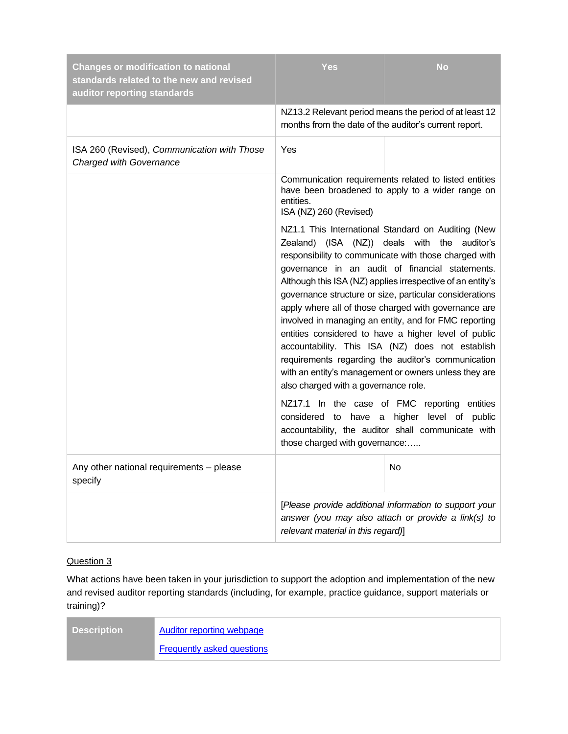| <b>Changes or modification to national</b><br>standards related to the new and revised<br>auditor reporting standards | <b>Yes</b>                                                                                                                                                                                                                                                                                                                                                                                                                                                                                                                                                                                                                                                                                                                                                                  | <b>No</b>                                                                                                     |  |
|-----------------------------------------------------------------------------------------------------------------------|-----------------------------------------------------------------------------------------------------------------------------------------------------------------------------------------------------------------------------------------------------------------------------------------------------------------------------------------------------------------------------------------------------------------------------------------------------------------------------------------------------------------------------------------------------------------------------------------------------------------------------------------------------------------------------------------------------------------------------------------------------------------------------|---------------------------------------------------------------------------------------------------------------|--|
|                                                                                                                       | months from the date of the auditor's current report.                                                                                                                                                                                                                                                                                                                                                                                                                                                                                                                                                                                                                                                                                                                       | NZ13.2 Relevant period means the period of at least 12                                                        |  |
| ISA 260 (Revised), Communication with Those<br><b>Charged with Governance</b>                                         | Yes                                                                                                                                                                                                                                                                                                                                                                                                                                                                                                                                                                                                                                                                                                                                                                         |                                                                                                               |  |
|                                                                                                                       | entities.<br>ISA (NZ) 260 (Revised)                                                                                                                                                                                                                                                                                                                                                                                                                                                                                                                                                                                                                                                                                                                                         | Communication requirements related to listed entities<br>have been broadened to apply to a wider range on     |  |
|                                                                                                                       | NZ1.1 This International Standard on Auditing (New<br>Zealand) (ISA (NZ)) deals with the auditor's<br>responsibility to communicate with those charged with<br>governance in an audit of financial statements.<br>Although this ISA (NZ) applies irrespective of an entity's<br>governance structure or size, particular considerations<br>apply where all of those charged with governance are<br>involved in managing an entity, and for FMC reporting<br>entities considered to have a higher level of public<br>accountability. This ISA (NZ) does not establish<br>requirements regarding the auditor's communication<br>with an entity's management or owners unless they are<br>also charged with a governance role.<br>NZ17.1 In the case of FMC reporting entities |                                                                                                               |  |
|                                                                                                                       | those charged with governance:                                                                                                                                                                                                                                                                                                                                                                                                                                                                                                                                                                                                                                                                                                                                              | considered to have a higher level of public<br>accountability, the auditor shall communicate with             |  |
| Any other national requirements - please<br>specify                                                                   |                                                                                                                                                                                                                                                                                                                                                                                                                                                                                                                                                                                                                                                                                                                                                                             | No                                                                                                            |  |
|                                                                                                                       | relevant material in this regard)]                                                                                                                                                                                                                                                                                                                                                                                                                                                                                                                                                                                                                                                                                                                                          | [Please provide additional information to support your<br>answer (you may also attach or provide a link(s) to |  |

What actions have been taken in your jurisdiction to support the adoption and implementation of the new and revised auditor reporting standards (including, for example, practice guidance, support materials or training)?

| <b>Description</b> | Auditor reporting webpage         |
|--------------------|-----------------------------------|
|                    | <b>Frequently asked questions</b> |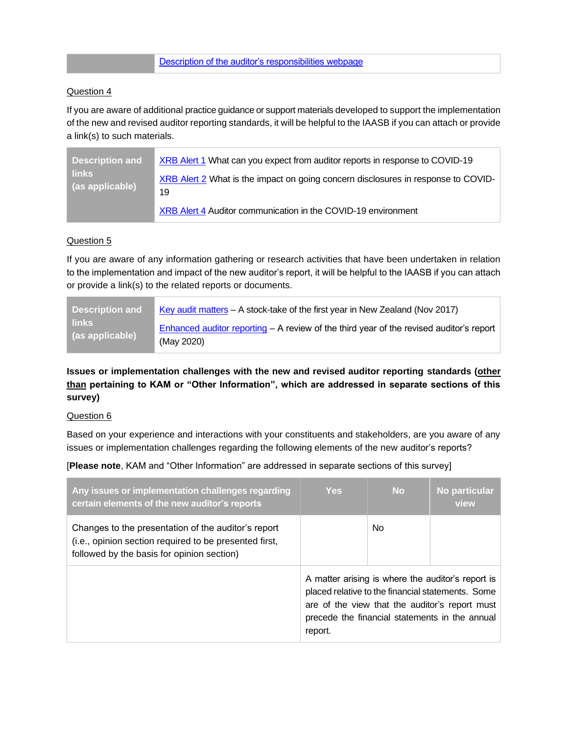## [Description of the auditor's responsibilities webpage](https://www.xrb.govt.nz/assurance-standards/auditors-responsibilities/)

## Question 4

If you are aware of additional practice guidance or support materials developed to support the implementation of the new and revised auditor reporting standards, it will be helpful to the IAASB if you can attach or provide a link(s) to such materials.

| <b>Description and</b>          | XRB Alert 1 What can you expect from auditor reports in response to COVID-19            |
|---------------------------------|-----------------------------------------------------------------------------------------|
| <b>links</b><br>(as applicable) | XRB Alert 2 What is the impact on going concern disclosures in response to COVID-<br>19 |
|                                 | XRB Alert 4 Auditor communication in the COVID-19 environment                           |

#### Question 5

If you are aware of any information gathering or research activities that have been undertaken in relation to the implementation and impact of the new auditor's report, it will be helpful to the IAASB if you can attach or provide a link(s) to the related reports or documents.

| <b>Description and</b> | Key audit matters – A stock-take of the first year in New Zealand (Nov 2017)              |
|------------------------|-------------------------------------------------------------------------------------------|
| <b>links</b>           | Enhanced auditor reporting $- A$ review of the third year of the revised auditor's report |
| (as applicable)        | (May 2020)                                                                                |

# **Issues or implementation challenges with the new and revised auditor reporting standards (other than pertaining to KAM or "Other Information", which are addressed in separate sections of this survey)**

#### Question 6

Based on your experience and interactions with your constituents and stakeholders, are you aware of any issues or implementation challenges regarding the following elements of the new auditor's reports?

[**Please note**, KAM and "Other Information" are addressed in separate sections of this survey]

| Any issues or implementation challenges regarding<br>certain elements of the new auditor's reports                                                          | <b>Yes</b>                                                                                                                                                                                                            | <b>No</b> | No particular<br>view |
|-------------------------------------------------------------------------------------------------------------------------------------------------------------|-----------------------------------------------------------------------------------------------------------------------------------------------------------------------------------------------------------------------|-----------|-----------------------|
| Changes to the presentation of the auditor's report<br>(i.e., opinion section required to be presented first,<br>followed by the basis for opinion section) |                                                                                                                                                                                                                       | No.       |                       |
|                                                                                                                                                             | A matter arising is where the auditor's report is<br>placed relative to the financial statements. Some<br>are of the view that the auditor's report must<br>precede the financial statements in the annual<br>report. |           |                       |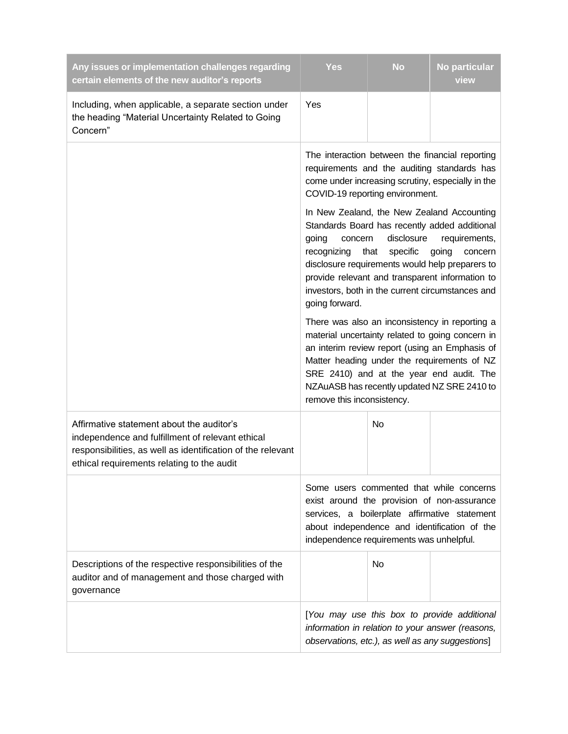| Any issues or implementation challenges regarding<br>certain elements of the new auditor's reports                                                                                                         | <b>Yes</b>                                                                                                                                                                                                                                                                                                                                                                        | <b>No</b> | No particular<br>view |
|------------------------------------------------------------------------------------------------------------------------------------------------------------------------------------------------------------|-----------------------------------------------------------------------------------------------------------------------------------------------------------------------------------------------------------------------------------------------------------------------------------------------------------------------------------------------------------------------------------|-----------|-----------------------|
| Including, when applicable, a separate section under<br>the heading "Material Uncertainty Related to Going<br>Concern"                                                                                     | Yes                                                                                                                                                                                                                                                                                                                                                                               |           |                       |
|                                                                                                                                                                                                            | The interaction between the financial reporting<br>requirements and the auditing standards has<br>come under increasing scrutiny, especially in the<br>COVID-19 reporting environment.                                                                                                                                                                                            |           |                       |
|                                                                                                                                                                                                            | In New Zealand, the New Zealand Accounting<br>Standards Board has recently added additional<br>going<br>disclosure<br>concern<br>requirements,<br>specific<br>going<br>recognizing<br>that<br>concern<br>disclosure requirements would help preparers to<br>provide relevant and transparent information to<br>investors, both in the current circumstances and<br>going forward. |           |                       |
|                                                                                                                                                                                                            | There was also an inconsistency in reporting a<br>material uncertainty related to going concern in<br>an interim review report (using an Emphasis of<br>Matter heading under the requirements of NZ<br>SRE 2410) and at the year end audit. The<br>NZAuASB has recently updated NZ SRE 2410 to<br>remove this inconsistency.                                                      |           |                       |
| Affirmative statement about the auditor's<br>independence and fulfillment of relevant ethical<br>responsibilities, as well as identification of the relevant<br>ethical requirements relating to the audit |                                                                                                                                                                                                                                                                                                                                                                                   | No        |                       |
|                                                                                                                                                                                                            | Some users commented that while concerns<br>exist around the provision of non-assurance<br>services, a boilerplate affirmative statement<br>about independence and identification of the<br>independence requirements was unhelpful.                                                                                                                                              |           |                       |
| Descriptions of the respective responsibilities of the<br>auditor and of management and those charged with<br>governance                                                                                   |                                                                                                                                                                                                                                                                                                                                                                                   | No        |                       |
|                                                                                                                                                                                                            | [You may use this box to provide additional<br>information in relation to your answer (reasons,<br>observations, etc.), as well as any suggestions]                                                                                                                                                                                                                               |           |                       |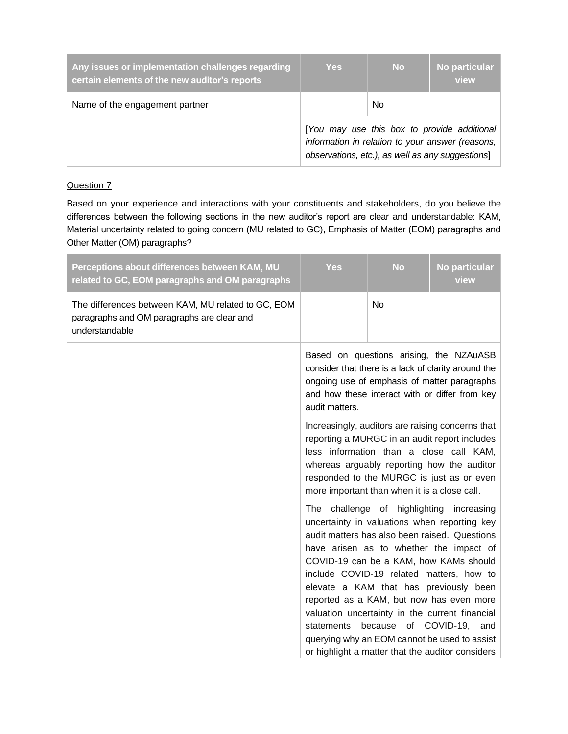| Any issues or implementation challenges regarding<br>certain elements of the new auditor's reports | <b>Yes</b> | <b>No</b>                                                                                                                                           | No particular<br>view |
|----------------------------------------------------------------------------------------------------|------------|-----------------------------------------------------------------------------------------------------------------------------------------------------|-----------------------|
| Name of the engagement partner                                                                     |            | No                                                                                                                                                  |                       |
|                                                                                                    |            | [You may use this box to provide additional<br>information in relation to your answer (reasons,<br>observations, etc.), as well as any suggestions] |                       |

Based on your experience and interactions with your constituents and stakeholders, do you believe the differences between the following sections in the new auditor's report are clear and understandable: KAM, Material uncertainty related to going concern (MU related to GC), Emphasis of Matter (EOM) paragraphs and Other Matter (OM) paragraphs?

| Perceptions about differences between KAM, MU<br>related to GC, EOM paragraphs and OM paragraphs                   | <b>Yes</b>                                                                                                                                                                                                                                                                              | <b>No</b>            | No particular<br>view                                                                                                                                                                                                                                                                                                                                                                                                                                                                                                         |  |
|--------------------------------------------------------------------------------------------------------------------|-----------------------------------------------------------------------------------------------------------------------------------------------------------------------------------------------------------------------------------------------------------------------------------------|----------------------|-------------------------------------------------------------------------------------------------------------------------------------------------------------------------------------------------------------------------------------------------------------------------------------------------------------------------------------------------------------------------------------------------------------------------------------------------------------------------------------------------------------------------------|--|
| The differences between KAM, MU related to GC, EOM<br>paragraphs and OM paragraphs are clear and<br>understandable |                                                                                                                                                                                                                                                                                         | <b>No</b>            |                                                                                                                                                                                                                                                                                                                                                                                                                                                                                                                               |  |
|                                                                                                                    | Based on questions arising, the NZAuASB<br>consider that there is a lack of clarity around the<br>ongoing use of emphasis of matter paragraphs<br>and how these interact with or differ from key<br>audit matters.                                                                      |                      |                                                                                                                                                                                                                                                                                                                                                                                                                                                                                                                               |  |
|                                                                                                                    | Increasingly, auditors are raising concerns that<br>reporting a MURGC in an audit report includes<br>less information than a close call KAM,<br>whereas arguably reporting how the auditor<br>responded to the MURGC is just as or even<br>more important than when it is a close call. |                      |                                                                                                                                                                                                                                                                                                                                                                                                                                                                                                                               |  |
|                                                                                                                    | statements                                                                                                                                                                                                                                                                              | because of COVID-19, | The challenge of highlighting increasing<br>uncertainty in valuations when reporting key<br>audit matters has also been raised. Questions<br>have arisen as to whether the impact of<br>COVID-19 can be a KAM, how KAMs should<br>include COVID-19 related matters, how to<br>elevate a KAM that has previously been<br>reported as a KAM, but now has even more<br>valuation uncertainty in the current financial<br>and<br>querying why an EOM cannot be used to assist<br>or highlight a matter that the auditor considers |  |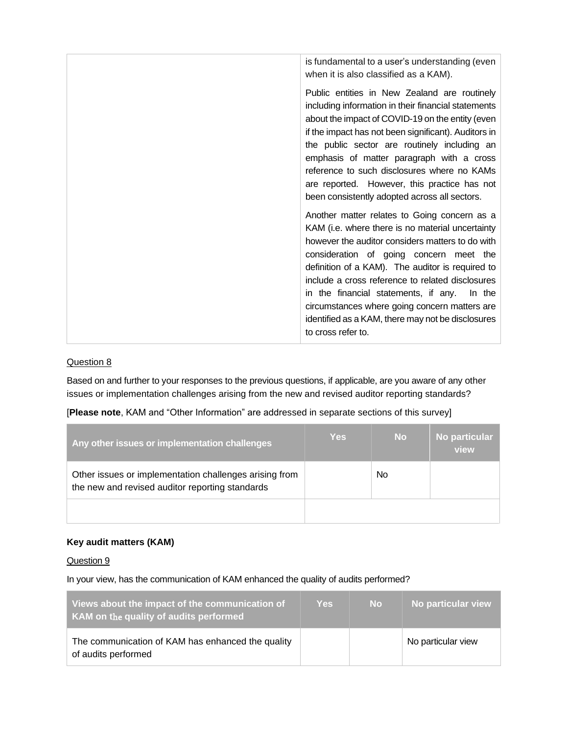| is fundamental to a user's understanding (even<br>when it is also classified as a KAM).                                                                                                                                                                                                                                                                                                                                                                                               |
|---------------------------------------------------------------------------------------------------------------------------------------------------------------------------------------------------------------------------------------------------------------------------------------------------------------------------------------------------------------------------------------------------------------------------------------------------------------------------------------|
| Public entities in New Zealand are routinely<br>including information in their financial statements<br>about the impact of COVID-19 on the entity (even<br>if the impact has not been significant). Auditors in<br>the public sector are routinely including an<br>emphasis of matter paragraph with a cross<br>reference to such disclosures where no KAMs<br>are reported. However, this practice has not<br>been consistently adopted across all sectors.                          |
| Another matter relates to Going concern as a<br>KAM (i.e. where there is no material uncertainty<br>however the auditor considers matters to do with<br>consideration of going concern meet the<br>definition of a KAM). The auditor is required to<br>include a cross reference to related disclosures<br>in the financial statements, if any.<br>In the<br>circumstances where going concern matters are<br>identified as a KAM, there may not be disclosures<br>to cross refer to. |

Based on and further to your responses to the previous questions, if applicable, are you aware of any other issues or implementation challenges arising from the new and revised auditor reporting standards?

| Any other issues or implementation challenges                                                             | <b>Yes</b> | <b>No</b> | No particular<br>view |
|-----------------------------------------------------------------------------------------------------------|------------|-----------|-----------------------|
| Other issues or implementation challenges arising from<br>the new and revised auditor reporting standards |            | No        |                       |
|                                                                                                           |            |           |                       |

[**Please note**, KAM and "Other Information" are addressed in separate sections of this survey]

# **Key audit matters (KAM)**

#### Question 9

In your view, has the communication of KAM enhanced the quality of audits performed?

| Views about the impact of the communication of<br>KAM on the quality of audits performed | <b>Yes</b> | <b>No</b> | No particular view |
|------------------------------------------------------------------------------------------|------------|-----------|--------------------|
| The communication of KAM has enhanced the quality<br>of audits performed                 |            |           | No particular view |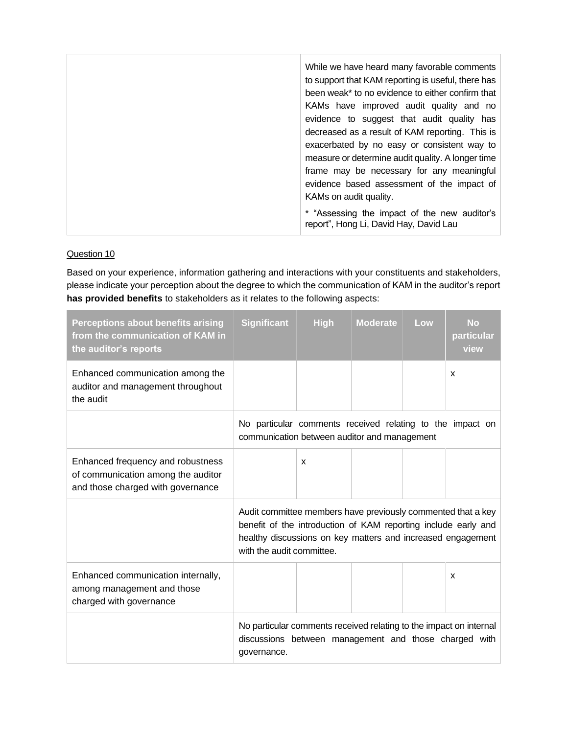| While we have heard many favorable comments<br>to support that KAM reporting is useful, there has<br>been weak* to no evidence to either confirm that<br>KAMs have improved audit quality and no<br>evidence to suggest that audit quality has<br>decreased as a result of KAM reporting. This is<br>exacerbated by no easy or consistent way to<br>measure or determine audit quality. A longer time<br>frame may be necessary for any meaningful<br>evidence based assessment of the impact of |
|--------------------------------------------------------------------------------------------------------------------------------------------------------------------------------------------------------------------------------------------------------------------------------------------------------------------------------------------------------------------------------------------------------------------------------------------------------------------------------------------------|
| KAMs on audit quality.                                                                                                                                                                                                                                                                                                                                                                                                                                                                           |
| * "Assessing the impact of the new auditor's<br>report", Hong Li, David Hay, David Lau                                                                                                                                                                                                                                                                                                                                                                                                           |

Based on your experience, information gathering and interactions with your constituents and stakeholders, please indicate your perception about the degree to which the communication of KAM in the auditor's report **has provided benefits** to stakeholders as it relates to the following aspects:

| <b>Perceptions about benefits arising</b><br>from the communication of KAM in<br>the auditor's reports       | <b>Significant</b>                                                                                                                                                                                                         | <b>High</b> | <b>Moderate</b> | Low | <b>No</b><br>particular<br>view |
|--------------------------------------------------------------------------------------------------------------|----------------------------------------------------------------------------------------------------------------------------------------------------------------------------------------------------------------------------|-------------|-----------------|-----|---------------------------------|
| Enhanced communication among the<br>auditor and management throughout<br>the audit                           |                                                                                                                                                                                                                            |             |                 |     | $\boldsymbol{\mathsf{x}}$       |
|                                                                                                              | No particular comments received relating to the impact on<br>communication between auditor and management                                                                                                                  |             |                 |     |                                 |
| Enhanced frequency and robustness<br>of communication among the auditor<br>and those charged with governance |                                                                                                                                                                                                                            | X           |                 |     |                                 |
|                                                                                                              | Audit committee members have previously commented that a key<br>benefit of the introduction of KAM reporting include early and<br>healthy discussions on key matters and increased engagement<br>with the audit committee. |             |                 |     |                                 |
| Enhanced communication internally,<br>among management and those<br>charged with governance                  |                                                                                                                                                                                                                            |             |                 |     | X                               |
|                                                                                                              | No particular comments received relating to the impact on internal<br>discussions between management and those charged with<br>governance.                                                                                 |             |                 |     |                                 |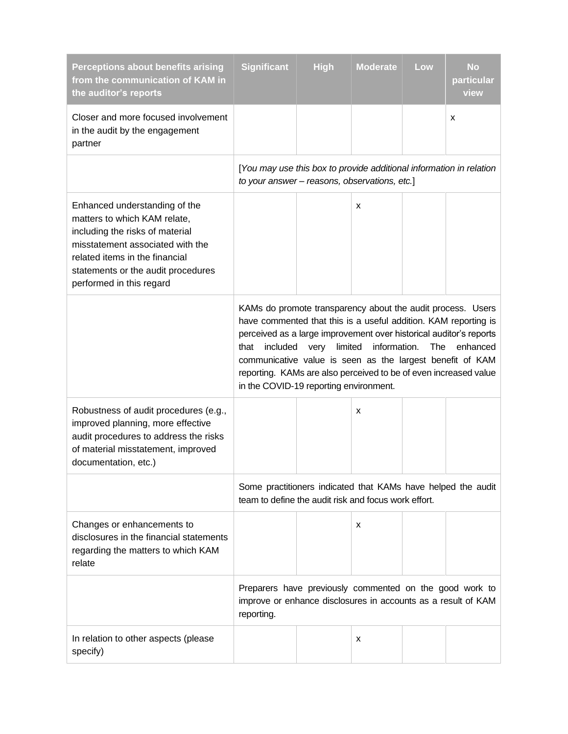| <b>Perceptions about benefits arising</b><br>from the communication of KAM in<br>the auditor's reports                                                                                                                                   | <b>Significant</b>                                                                                                                                                                                                                                                                                                                                                                                  | <b>High</b>     | <b>Moderate</b> | Low | <b>No</b><br>particular<br>view |
|------------------------------------------------------------------------------------------------------------------------------------------------------------------------------------------------------------------------------------------|-----------------------------------------------------------------------------------------------------------------------------------------------------------------------------------------------------------------------------------------------------------------------------------------------------------------------------------------------------------------------------------------------------|-----------------|-----------------|-----|---------------------------------|
| Closer and more focused involvement<br>in the audit by the engagement<br>partner                                                                                                                                                         |                                                                                                                                                                                                                                                                                                                                                                                                     |                 |                 |     | х                               |
|                                                                                                                                                                                                                                          | [You may use this box to provide additional information in relation<br>to your answer - reasons, observations, etc.]                                                                                                                                                                                                                                                                                |                 |                 |     |                                 |
| Enhanced understanding of the<br>matters to which KAM relate,<br>including the risks of material<br>misstatement associated with the<br>related items in the financial<br>statements or the audit procedures<br>performed in this regard |                                                                                                                                                                                                                                                                                                                                                                                                     |                 | X               |     |                                 |
|                                                                                                                                                                                                                                          | KAMs do promote transparency about the audit process. Users<br>have commented that this is a useful addition. KAM reporting is<br>perceived as a large improvement over historical auditor's reports<br>that<br>included<br>communicative value is seen as the largest benefit of KAM<br>reporting. KAMs are also perceived to be of even increased value<br>in the COVID-19 reporting environment. | limited<br>very | information.    | The | enhanced                        |
| Robustness of audit procedures (e.g.,<br>improved planning, more effective<br>audit procedures to address the risks<br>of material misstatement, improved<br>documentation, etc.)                                                        |                                                                                                                                                                                                                                                                                                                                                                                                     |                 | x               |     |                                 |
|                                                                                                                                                                                                                                          | Some practitioners indicated that KAMs have helped the audit<br>team to define the audit risk and focus work effort.                                                                                                                                                                                                                                                                                |                 |                 |     |                                 |
| Changes or enhancements to<br>disclosures in the financial statements<br>regarding the matters to which KAM<br>relate                                                                                                                    |                                                                                                                                                                                                                                                                                                                                                                                                     |                 | x               |     |                                 |
|                                                                                                                                                                                                                                          | Preparers have previously commented on the good work to<br>improve or enhance disclosures in accounts as a result of KAM<br>reporting.                                                                                                                                                                                                                                                              |                 |                 |     |                                 |
| In relation to other aspects (please<br>specify)                                                                                                                                                                                         |                                                                                                                                                                                                                                                                                                                                                                                                     |                 | x               |     |                                 |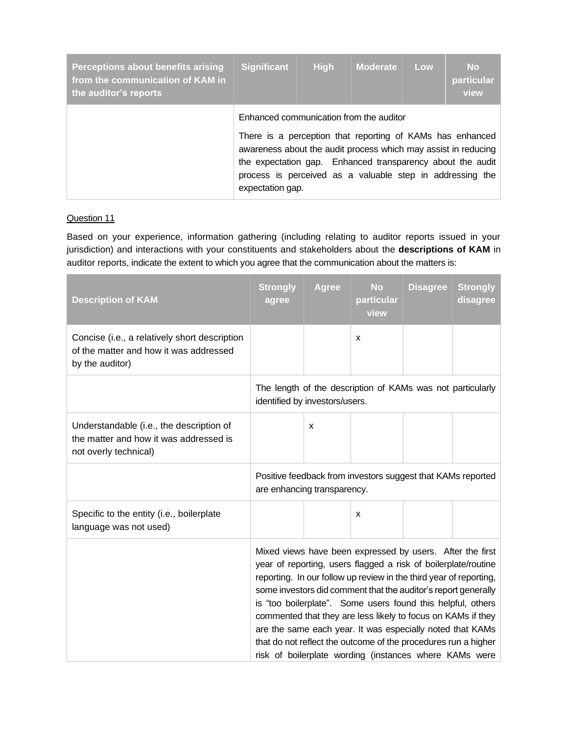| Perceptions about benefits arising<br>from the communication of KAM in<br>the auditor's reports | <b>Significant</b>                                                                                                                                                                                                                                                                                                    | <b>High</b> | <b>Moderate</b> | Low | <b>No</b><br>particular<br>view |
|-------------------------------------------------------------------------------------------------|-----------------------------------------------------------------------------------------------------------------------------------------------------------------------------------------------------------------------------------------------------------------------------------------------------------------------|-------------|-----------------|-----|---------------------------------|
|                                                                                                 | Enhanced communication from the auditor<br>There is a perception that reporting of KAMs has enhanced<br>awareness about the audit process which may assist in reducing<br>the expectation gap. Enhanced transparency about the audit<br>process is perceived as a valuable step in addressing the<br>expectation gap. |             |                 |     |                                 |

Based on your experience, information gathering (including relating to auditor reports issued in your jurisdiction) and interactions with your constituents and stakeholders about the **descriptions of KAM** in auditor reports, indicate the extent to which you agree that the communication about the matters is:

| <b>Description of KAM</b>                                                                                   | <b>Strongly</b><br>agree                                                                     | <b>Agree</b> | <b>No</b><br>particular<br>view | <b>Disagree</b> | <b>Strongly</b><br>disagree |
|-------------------------------------------------------------------------------------------------------------|----------------------------------------------------------------------------------------------|--------------|---------------------------------|-----------------|-----------------------------|
| Concise (i.e., a relatively short description<br>of the matter and how it was addressed<br>by the auditor)  |                                                                                              |              | x                               |                 |                             |
|                                                                                                             | The length of the description of KAMs was not particularly<br>identified by investors/users. |              |                                 |                 |                             |
| Understandable (i.e., the description of<br>the matter and how it was addressed is<br>not overly technical) |                                                                                              | x            |                                 |                 |                             |
|                                                                                                             | Positive feedback from investors suggest that KAMs reported<br>are enhancing transparency.   |              |                                 |                 |                             |
|                                                                                                             |                                                                                              |              |                                 |                 |                             |
| Specific to the entity (i.e., boilerplate<br>language was not used)                                         |                                                                                              |              | x                               |                 |                             |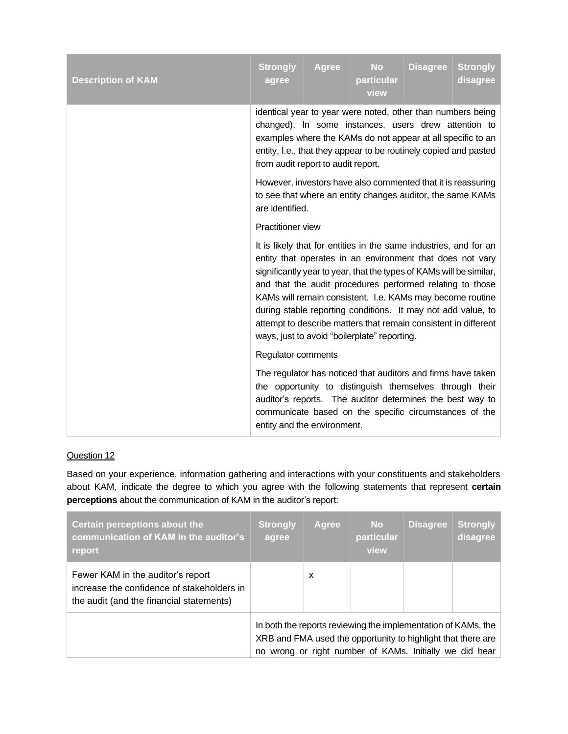| <b>Description of KAM</b> | <b>Strongly</b><br>agree                                                                                                                                                                                                                                                                                                                                                                                                                                                                                           | <b>Agree</b> | <b>No</b><br>particular<br>view                                                                                                                                                                                                                | <b>Disagree</b> | <b>Strongly</b><br>disagree |  |  |
|---------------------------|--------------------------------------------------------------------------------------------------------------------------------------------------------------------------------------------------------------------------------------------------------------------------------------------------------------------------------------------------------------------------------------------------------------------------------------------------------------------------------------------------------------------|--------------|------------------------------------------------------------------------------------------------------------------------------------------------------------------------------------------------------------------------------------------------|-----------------|-----------------------------|--|--|
|                           | identical year to year were noted, other than numbers being<br>changed). In some instances, users drew attention to<br>examples where the KAMs do not appear at all specific to an<br>entity, I.e., that they appear to be routinely copied and pasted<br>from audit report to audit report.                                                                                                                                                                                                                       |              |                                                                                                                                                                                                                                                |                 |                             |  |  |
|                           | However, investors have also commented that it is reassuring<br>to see that where an entity changes auditor, the same KAMs<br>are identified.                                                                                                                                                                                                                                                                                                                                                                      |              |                                                                                                                                                                                                                                                |                 |                             |  |  |
|                           | Practitioner view                                                                                                                                                                                                                                                                                                                                                                                                                                                                                                  |              |                                                                                                                                                                                                                                                |                 |                             |  |  |
|                           | It is likely that for entities in the same industries, and for an<br>entity that operates in an environment that does not vary<br>significantly year to year, that the types of KAMs will be similar,<br>and that the audit procedures performed relating to those<br>KAMs will remain consistent. I.e. KAMs may become routine<br>during stable reporting conditions. It may not add value, to<br>attempt to describe matters that remain consistent in different<br>ways, just to avoid "boilerplate" reporting. |              |                                                                                                                                                                                                                                                |                 |                             |  |  |
|                           | Regulator comments                                                                                                                                                                                                                                                                                                                                                                                                                                                                                                 |              |                                                                                                                                                                                                                                                |                 |                             |  |  |
|                           | entity and the environment.                                                                                                                                                                                                                                                                                                                                                                                                                                                                                        |              | The regulator has noticed that auditors and firms have taken<br>the opportunity to distinguish themselves through their<br>auditor's reports. The auditor determines the best way to<br>communicate based on the specific circumstances of the |                 |                             |  |  |

Based on your experience, information gathering and interactions with your constituents and stakeholders about KAM, indicate the degree to which you agree with the following statements that represent **certain perceptions** about the communication of KAM in the auditor's report:

| Certain perceptions about the<br>communication of KAM in the auditor's<br>report                                            | <b>Strongly</b><br>agree                                                                                                                                                                 | <b>Agree</b> | <b>No</b><br>particular<br>view | <b>Disagree</b> | <b>Strongly</b><br>disagree |
|-----------------------------------------------------------------------------------------------------------------------------|------------------------------------------------------------------------------------------------------------------------------------------------------------------------------------------|--------------|---------------------------------|-----------------|-----------------------------|
| Fewer KAM in the auditor's report<br>increase the confidence of stakeholders in<br>the audit (and the financial statements) |                                                                                                                                                                                          | X            |                                 |                 |                             |
|                                                                                                                             | In both the reports reviewing the implementation of KAMs, the<br>XRB and FMA used the opportunity to highlight that there are<br>no wrong or right number of KAMs. Initially we did hear |              |                                 |                 |                             |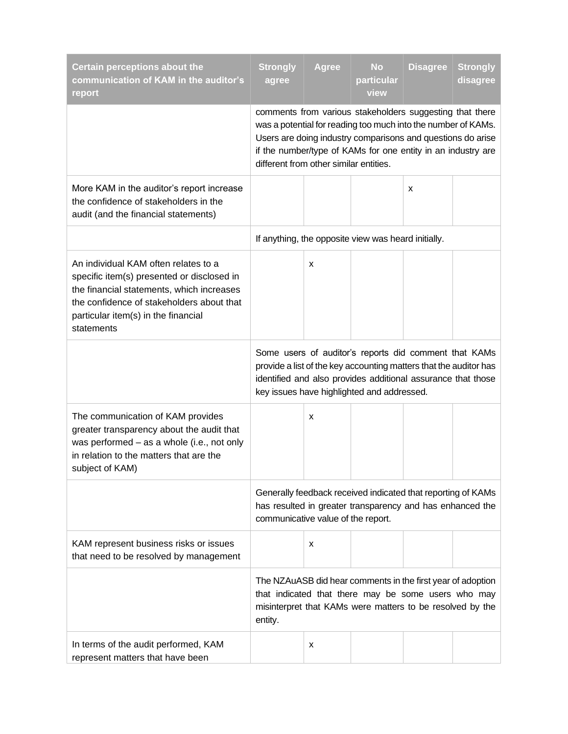| <b>Certain perceptions about the</b><br>communication of KAM in the auditor's<br>report                                                                                                                                           | <b>Strongly</b><br>agree                                                                                                                                                                                                                 | <b>Agree</b> | <b>No</b><br>particular<br>view                                                                                                                                                                                                                          | <b>Disagree</b> | <b>Strongly</b><br>disagree |
|-----------------------------------------------------------------------------------------------------------------------------------------------------------------------------------------------------------------------------------|------------------------------------------------------------------------------------------------------------------------------------------------------------------------------------------------------------------------------------------|--------------|----------------------------------------------------------------------------------------------------------------------------------------------------------------------------------------------------------------------------------------------------------|-----------------|-----------------------------|
|                                                                                                                                                                                                                                   | different from other similar entities.                                                                                                                                                                                                   |              | comments from various stakeholders suggesting that there<br>was a potential for reading too much into the number of KAMs.<br>Users are doing industry comparisons and questions do arise<br>if the number/type of KAMs for one entity in an industry are |                 |                             |
| More KAM in the auditor's report increase<br>the confidence of stakeholders in the<br>audit (and the financial statements)                                                                                                        |                                                                                                                                                                                                                                          |              |                                                                                                                                                                                                                                                          | X               |                             |
|                                                                                                                                                                                                                                   |                                                                                                                                                                                                                                          |              | If anything, the opposite view was heard initially.                                                                                                                                                                                                      |                 |                             |
| An individual KAM often relates to a<br>specific item(s) presented or disclosed in<br>the financial statements, which increases<br>the confidence of stakeholders about that<br>particular item(s) in the financial<br>statements |                                                                                                                                                                                                                                          | х            |                                                                                                                                                                                                                                                          |                 |                             |
|                                                                                                                                                                                                                                   | Some users of auditor's reports did comment that KAMs<br>provide a list of the key accounting matters that the auditor has<br>identified and also provides additional assurance that those<br>key issues have highlighted and addressed. |              |                                                                                                                                                                                                                                                          |                 |                             |
| The communication of KAM provides<br>greater transparency about the audit that<br>was performed - as a whole (i.e., not only<br>in relation to the matters that are the<br>subject of KAM)                                        |                                                                                                                                                                                                                                          | х            |                                                                                                                                                                                                                                                          |                 |                             |
|                                                                                                                                                                                                                                   | Generally feedback received indicated that reporting of KAMs<br>has resulted in greater transparency and has enhanced the<br>communicative value of the report.                                                                          |              |                                                                                                                                                                                                                                                          |                 |                             |
| KAM represent business risks or issues<br>that need to be resolved by management                                                                                                                                                  |                                                                                                                                                                                                                                          | х            |                                                                                                                                                                                                                                                          |                 |                             |
|                                                                                                                                                                                                                                   | The NZAuASB did hear comments in the first year of adoption<br>that indicated that there may be some users who may<br>misinterpret that KAMs were matters to be resolved by the<br>entity.                                               |              |                                                                                                                                                                                                                                                          |                 |                             |
| In terms of the audit performed, KAM<br>represent matters that have been                                                                                                                                                          |                                                                                                                                                                                                                                          | х            |                                                                                                                                                                                                                                                          |                 |                             |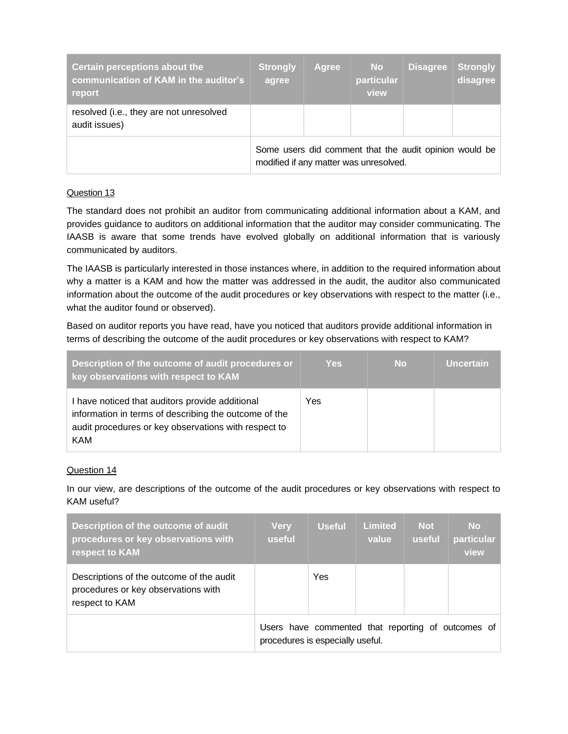| Certain perceptions about the<br>communication of KAM in the auditor's<br>report | <b>Strongly</b><br>agree                                                                         | Agree | <b>No</b><br>particular<br>view | <b>Disagree</b> | <b>Strongly</b><br>disagree |
|----------------------------------------------------------------------------------|--------------------------------------------------------------------------------------------------|-------|---------------------------------|-----------------|-----------------------------|
| resolved (i.e., they are not unresolved<br>audit issues)                         |                                                                                                  |       |                                 |                 |                             |
|                                                                                  | Some users did comment that the audit opinion would be<br>modified if any matter was unresolved. |       |                                 |                 |                             |

The standard does not prohibit an auditor from communicating additional information about a KAM, and provides guidance to auditors on additional information that the auditor may consider communicating. The IAASB is aware that some trends have evolved globally on additional information that is variously communicated by auditors.

The IAASB is particularly interested in those instances where, in addition to the required information about why a matter is a KAM and how the matter was addressed in the audit, the auditor also communicated information about the outcome of the audit procedures or key observations with respect to the matter (i.e., what the auditor found or observed).

Based on auditor reports you have read, have you noticed that auditors provide additional information in terms of describing the outcome of the audit procedures or key observations with respect to KAM?

| Description of the outcome of audit procedures or<br>key observations with respect to KAM                                                                                      | <b>Yes</b> | <b>No</b> | <b>Uncertain</b> |
|--------------------------------------------------------------------------------------------------------------------------------------------------------------------------------|------------|-----------|------------------|
| I have noticed that auditors provide additional<br>information in terms of describing the outcome of the<br>audit procedures or key observations with respect to<br><b>KAM</b> | Yes        |           |                  |

## Question 14

In our view, are descriptions of the outcome of the audit procedures or key observations with respect to KAM useful?

| Description of the outcome of audit<br>procedures or key observations with<br>respect to KAM      | <b>Very</b><br><b>useful</b>                                                           | <b>Useful</b> | <b>Limited</b><br>value | <b>Not</b><br>useful | <b>No</b><br>particular<br>view |
|---------------------------------------------------------------------------------------------------|----------------------------------------------------------------------------------------|---------------|-------------------------|----------------------|---------------------------------|
| Descriptions of the outcome of the audit<br>procedures or key observations with<br>respect to KAM |                                                                                        | Yes           |                         |                      |                                 |
|                                                                                                   | Users have commented that reporting of outcomes of<br>procedures is especially useful. |               |                         |                      |                                 |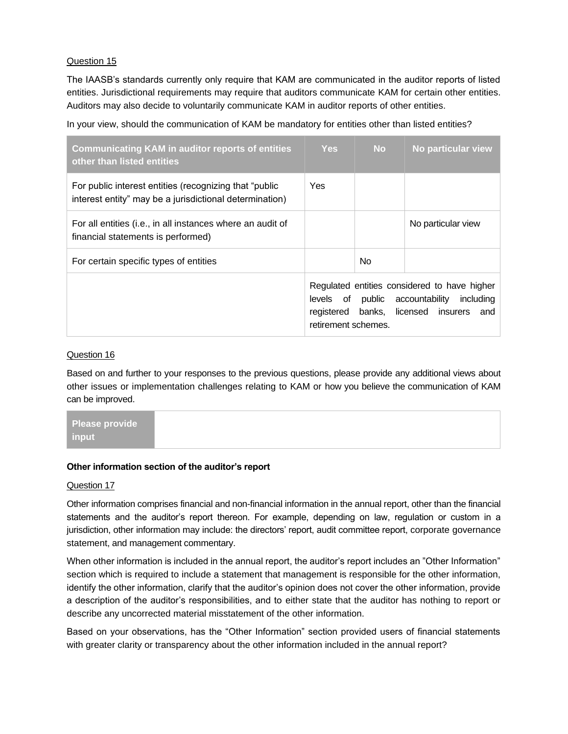The IAASB's standards currently only require that KAM are communicated in the auditor reports of listed entities. Jurisdictional requirements may require that auditors communicate KAM for certain other entities. Auditors may also decide to voluntarily communicate KAM in auditor reports of other entities.

In your view, should the communication of KAM be mandatory for entities other than listed entities?

| <b>Communicating KAM in auditor reports of entities</b><br>other than listed entities                              | <b>Yes</b>                        | <b>No</b> | No particular view                                                                                                              |
|--------------------------------------------------------------------------------------------------------------------|-----------------------------------|-----------|---------------------------------------------------------------------------------------------------------------------------------|
| For public interest entities (recognizing that "public"<br>interest entity" may be a jurisdictional determination) | Yes.                              |           |                                                                                                                                 |
| For all entities (i.e., in all instances where an audit of<br>financial statements is performed)                   |                                   |           | No particular view                                                                                                              |
| For certain specific types of entities                                                                             |                                   | No.       |                                                                                                                                 |
|                                                                                                                    | registered<br>retirement schemes. |           | Regulated entities considered to have higher<br>levels of public accountability<br>including<br>banks, licensed insurers<br>and |

## Question 16

Based on and further to your responses to the previous questions, please provide any additional views about other issues or implementation challenges relating to KAM or how you believe the communication of KAM can be improved.

| Please provide |  |  |
|----------------|--|--|
| ∣ input i      |  |  |

## **Other information section of the auditor's report**

#### Question 17

Other information comprises financial and non-financial information in the annual report, other than the financial statements and the auditor's report thereon. For example, depending on law, regulation or custom in a jurisdiction, other information may include: the directors' report, audit committee report, corporate governance statement, and management commentary.

When other information is included in the annual report, the auditor's report includes an "Other Information" section which is required to include a statement that management is responsible for the other information, identify the other information, clarify that the auditor's opinion does not cover the other information, provide a description of the auditor's responsibilities, and to either state that the auditor has nothing to report or describe any uncorrected material misstatement of the other information.

Based on your observations, has the "Other Information" section provided users of financial statements with greater clarity or transparency about the other information included in the annual report?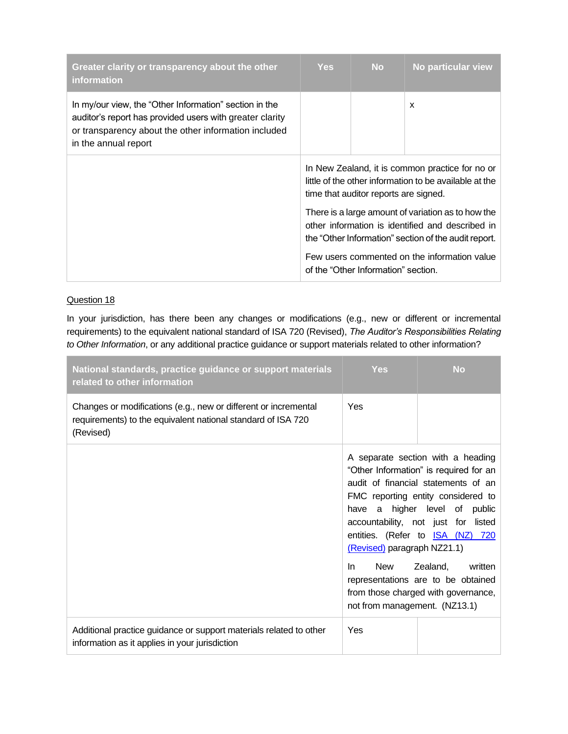| Greater clarity or transparency about the other<br><i>information</i>                                                                                                                              | <b>Yes</b>                                                                                                                                                     | <b>No</b> | No particular view |
|----------------------------------------------------------------------------------------------------------------------------------------------------------------------------------------------------|----------------------------------------------------------------------------------------------------------------------------------------------------------------|-----------|--------------------|
| In my/our view, the "Other Information" section in the<br>auditor's report has provided users with greater clarity<br>or transparency about the other information included<br>in the annual report |                                                                                                                                                                |           | x                  |
|                                                                                                                                                                                                    | In New Zealand, it is common practice for no or<br>little of the other information to be available at the<br>time that auditor reports are signed.             |           |                    |
|                                                                                                                                                                                                    | There is a large amount of variation as to how the<br>other information is identified and described in<br>the "Other Information" section of the audit report. |           |                    |
|                                                                                                                                                                                                    | Few users commented on the information value<br>of the "Other Information" section.                                                                            |           |                    |

In your jurisdiction, has there been any changes or modifications (e.g., new or different or incremental requirements) to the equivalent national standard of ISA 720 (Revised), *The Auditor's Responsibilities Relating to Other Information*, or any additional practice guidance or support materials related to other information?

| National standards, practice guidance or support materials<br>related to other information                                                   | <b>Yes</b>                                                                 | <b>No</b>                                                                                                                                                                                                                                                                                                                                                                       |
|----------------------------------------------------------------------------------------------------------------------------------------------|----------------------------------------------------------------------------|---------------------------------------------------------------------------------------------------------------------------------------------------------------------------------------------------------------------------------------------------------------------------------------------------------------------------------------------------------------------------------|
| Changes or modifications (e.g., new or different or incremental<br>requirements) to the equivalent national standard of ISA 720<br>(Revised) | Yes                                                                        |                                                                                                                                                                                                                                                                                                                                                                                 |
|                                                                                                                                              | (Revised) paragraph NZ21.1)<br>New<br>In.<br>not from management. (NZ13.1) | A separate section with a heading<br>"Other Information" is required for an<br>audit of financial statements of an<br>FMC reporting entity considered to<br>have a higher level of public<br>accountability, not just for listed<br>entities. (Refer to <b>ISA (NZ) 720</b><br>Zealand,<br>written<br>representations are to be obtained<br>from those charged with governance, |
| Additional practice guidance or support materials related to other<br>information as it applies in your jurisdiction                         | Yes                                                                        |                                                                                                                                                                                                                                                                                                                                                                                 |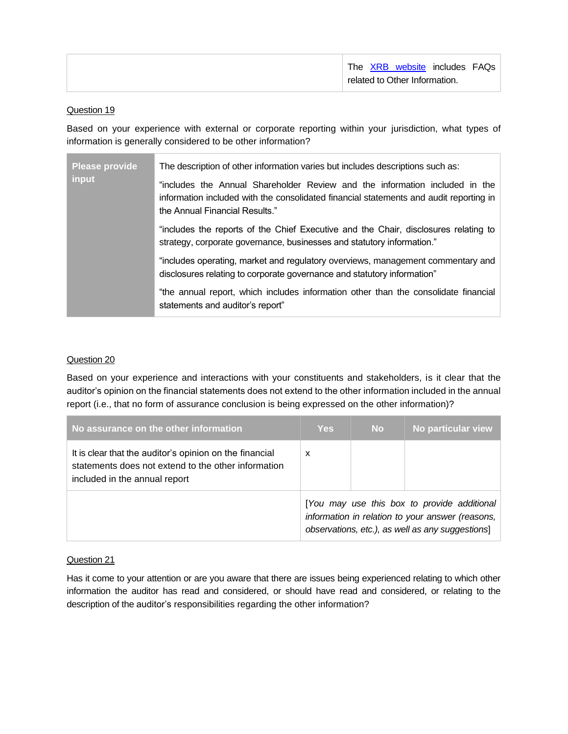| The XRB website includes FAQs |
|-------------------------------|
| related to Other Information. |

Based on your experience with external or corporate reporting within your jurisdiction, what types of information is generally considered to be other information?

| <b>Please provide</b>                                                                                                                                         | The description of other information varies but includes descriptions such as:                                                                                                                          |  |  |  |  |
|---------------------------------------------------------------------------------------------------------------------------------------------------------------|---------------------------------------------------------------------------------------------------------------------------------------------------------------------------------------------------------|--|--|--|--|
| input                                                                                                                                                         | "includes the Annual Shareholder Review and the information included in the<br>information included with the consolidated financial statements and audit reporting in<br>the Annual Financial Results." |  |  |  |  |
| "includes the reports of the Chief Executive and the Chair, disclosures relating to<br>strategy, corporate governance, businesses and statutory information." |                                                                                                                                                                                                         |  |  |  |  |
| "includes operating, market and regulatory overviews, management commentary and<br>disclosures relating to corporate governance and statutory information"    |                                                                                                                                                                                                         |  |  |  |  |
|                                                                                                                                                               | "the annual report, which includes information other than the consolidate financial<br>statements and auditor's report"                                                                                 |  |  |  |  |

## Question 20

Based on your experience and interactions with your constituents and stakeholders, is it clear that the auditor's opinion on the financial statements does not extend to the other information included in the annual report (i.e., that no form of assurance conclusion is being expressed on the other information)?

| No assurance on the other information                                                                                                           | <b>Yes</b>                                                                                                                                          | <b>No</b> | No particular view |
|-------------------------------------------------------------------------------------------------------------------------------------------------|-----------------------------------------------------------------------------------------------------------------------------------------------------|-----------|--------------------|
| It is clear that the auditor's opinion on the financial<br>statements does not extend to the other information<br>included in the annual report | x                                                                                                                                                   |           |                    |
|                                                                                                                                                 | [You may use this box to provide additional<br>information in relation to your answer (reasons,<br>observations, etc.), as well as any suggestions] |           |                    |

## Question 21

Has it come to your attention or are you aware that there are issues being experienced relating to which other information the auditor has read and considered, or should have read and considered, or relating to the description of the auditor's responsibilities regarding the other information?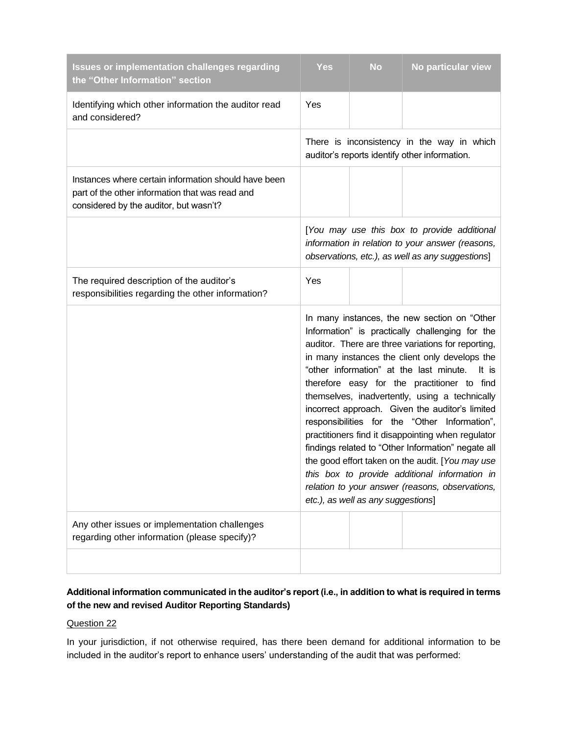| <b>Issues or implementation challenges regarding</b><br>the "Other Information" section                                                           | <b>Yes</b>                                                                                                                                                                                                                                                                                                                                                                                                                                                                                                                                                                                                                                                                                                                                                                 | <b>No</b> | No particular view                                                                          |
|---------------------------------------------------------------------------------------------------------------------------------------------------|----------------------------------------------------------------------------------------------------------------------------------------------------------------------------------------------------------------------------------------------------------------------------------------------------------------------------------------------------------------------------------------------------------------------------------------------------------------------------------------------------------------------------------------------------------------------------------------------------------------------------------------------------------------------------------------------------------------------------------------------------------------------------|-----------|---------------------------------------------------------------------------------------------|
| Identifying which other information the auditor read<br>and considered?                                                                           | Yes                                                                                                                                                                                                                                                                                                                                                                                                                                                                                                                                                                                                                                                                                                                                                                        |           |                                                                                             |
|                                                                                                                                                   |                                                                                                                                                                                                                                                                                                                                                                                                                                                                                                                                                                                                                                                                                                                                                                            |           | There is inconsistency in the way in which<br>auditor's reports identify other information. |
| Instances where certain information should have been<br>part of the other information that was read and<br>considered by the auditor, but wasn't? |                                                                                                                                                                                                                                                                                                                                                                                                                                                                                                                                                                                                                                                                                                                                                                            |           |                                                                                             |
|                                                                                                                                                   | [You may use this box to provide additional<br>information in relation to your answer (reasons,<br>observations, etc.), as well as any suggestions]                                                                                                                                                                                                                                                                                                                                                                                                                                                                                                                                                                                                                        |           |                                                                                             |
| The required description of the auditor's<br>responsibilities regarding the other information?                                                    | Yes                                                                                                                                                                                                                                                                                                                                                                                                                                                                                                                                                                                                                                                                                                                                                                        |           |                                                                                             |
|                                                                                                                                                   | In many instances, the new section on "Other<br>Information" is practically challenging for the<br>auditor. There are three variations for reporting,<br>in many instances the client only develops the<br>"other information" at the last minute.<br>It is<br>therefore easy for the practitioner to find<br>themselves, inadvertently, using a technically<br>incorrect approach. Given the auditor's limited<br>responsibilities for the "Other Information",<br>practitioners find it disappointing when regulator<br>findings related to "Other Information" negate all<br>the good effort taken on the audit. [You may use<br>this box to provide additional information in<br>relation to your answer (reasons, observations,<br>etc.), as well as any suggestions] |           |                                                                                             |
| Any other issues or implementation challenges<br>regarding other information (please specify)?                                                    |                                                                                                                                                                                                                                                                                                                                                                                                                                                                                                                                                                                                                                                                                                                                                                            |           |                                                                                             |
|                                                                                                                                                   |                                                                                                                                                                                                                                                                                                                                                                                                                                                                                                                                                                                                                                                                                                                                                                            |           |                                                                                             |

# **Additional information communicated in the auditor's report (i.e., in addition to what is required in terms of the new and revised Auditor Reporting Standards)**

## Question 22

In your jurisdiction, if not otherwise required, has there been demand for additional information to be included in the auditor's report to enhance users' understanding of the audit that was performed: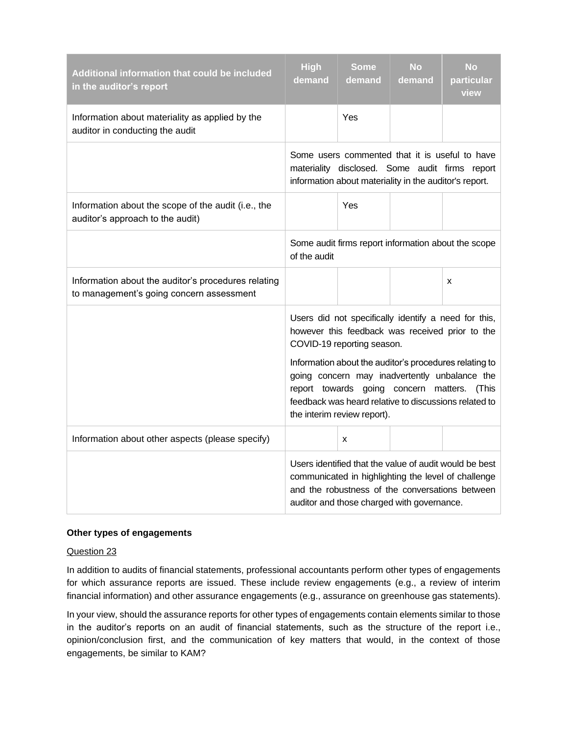| Additional information that could be included<br>in the auditor's report                        | <b>High</b><br>demand                                                                                                                                                                                                                                                                                                                                                                      | <b>Some</b><br>demand | <b>No</b><br>demand | <b>No</b><br>particular<br>view |
|-------------------------------------------------------------------------------------------------|--------------------------------------------------------------------------------------------------------------------------------------------------------------------------------------------------------------------------------------------------------------------------------------------------------------------------------------------------------------------------------------------|-----------------------|---------------------|---------------------------------|
| Information about materiality as applied by the<br>auditor in conducting the audit              |                                                                                                                                                                                                                                                                                                                                                                                            | Yes                   |                     |                                 |
|                                                                                                 | Some users commented that it is useful to have<br>materiality disclosed. Some audit firms report<br>information about materiality in the auditor's report.                                                                                                                                                                                                                                 |                       |                     |                                 |
| Information about the scope of the audit (i.e., the<br>auditor's approach to the audit)         |                                                                                                                                                                                                                                                                                                                                                                                            | Yes                   |                     |                                 |
|                                                                                                 | Some audit firms report information about the scope<br>of the audit                                                                                                                                                                                                                                                                                                                        |                       |                     |                                 |
| Information about the auditor's procedures relating<br>to management's going concern assessment |                                                                                                                                                                                                                                                                                                                                                                                            |                       |                     | X                               |
|                                                                                                 | Users did not specifically identify a need for this,<br>however this feedback was received prior to the<br>COVID-19 reporting season.<br>Information about the auditor's procedures relating to<br>going concern may inadvertently unbalance the<br>report towards going concern matters.<br>(This<br>feedback was heard relative to discussions related to<br>the interim review report). |                       |                     |                                 |
| Information about other aspects (please specify)                                                |                                                                                                                                                                                                                                                                                                                                                                                            | x                     |                     |                                 |
|                                                                                                 | Users identified that the value of audit would be best<br>communicated in highlighting the level of challenge<br>and the robustness of the conversations between<br>auditor and those charged with governance.                                                                                                                                                                             |                       |                     |                                 |

## **Other types of engagements**

#### Question 23

In addition to audits of financial statements, professional accountants perform other types of engagements for which assurance reports are issued. These include review engagements (e.g., a review of interim financial information) and other assurance engagements (e.g., assurance on greenhouse gas statements).

In your view, should the assurance reports for other types of engagements contain elements similar to those in the auditor's reports on an audit of financial statements, such as the structure of the report i.e., opinion/conclusion first, and the communication of key matters that would, in the context of those engagements, be similar to KAM?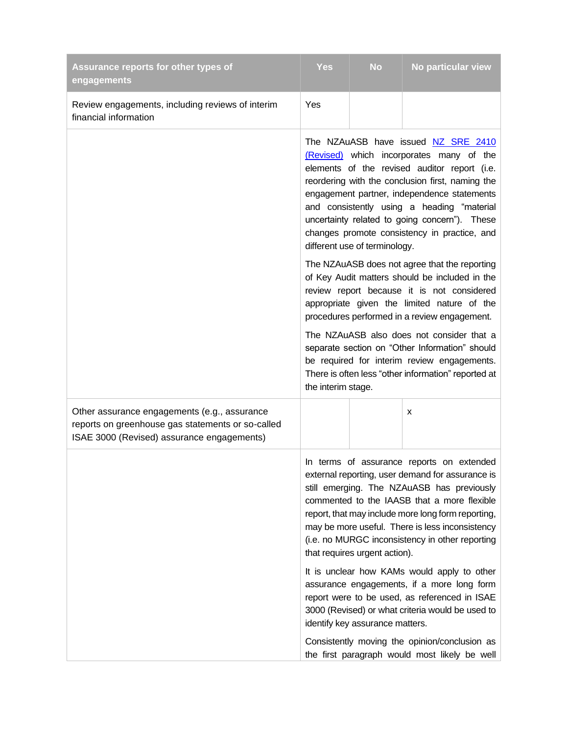| Assurance reports for other types of<br>engagements                                                                                             | <b>Yes</b>                                                                                                                                                                                                                                                                                                                                                                                                         | <b>No</b> | No particular view |  |
|-------------------------------------------------------------------------------------------------------------------------------------------------|--------------------------------------------------------------------------------------------------------------------------------------------------------------------------------------------------------------------------------------------------------------------------------------------------------------------------------------------------------------------------------------------------------------------|-----------|--------------------|--|
| Review engagements, including reviews of interim<br>financial information                                                                       | Yes                                                                                                                                                                                                                                                                                                                                                                                                                |           |                    |  |
|                                                                                                                                                 | The NZAuASB have issued NZ SRE 2410<br>(Revised) which incorporates many of the<br>elements of the revised auditor report (i.e.<br>reordering with the conclusion first, naming the<br>engagement partner, independence statements<br>and consistently using a heading "material<br>uncertainty related to going concern"). These<br>changes promote consistency in practice, and<br>different use of terminology. |           |                    |  |
|                                                                                                                                                 | The NZAuASB does not agree that the reporting<br>of Key Audit matters should be included in the<br>review report because it is not considered<br>appropriate given the limited nature of the<br>procedures performed in a review engagement.                                                                                                                                                                       |           |                    |  |
|                                                                                                                                                 | The NZAuASB also does not consider that a<br>separate section on "Other Information" should<br>be required for interim review engagements.<br>There is often less "other information" reported at<br>the interim stage.                                                                                                                                                                                            |           |                    |  |
| Other assurance engagements (e.g., assurance<br>reports on greenhouse gas statements or so-called<br>ISAE 3000 (Revised) assurance engagements) |                                                                                                                                                                                                                                                                                                                                                                                                                    |           | x                  |  |
|                                                                                                                                                 | In terms of assurance reports on extended<br>external reporting, user demand for assurance is<br>still emerging. The NZAuASB has previously<br>commented to the IAASB that a more flexible<br>report, that may include more long form reporting,<br>may be more useful. There is less inconsistency<br>(i.e. no MURGC inconsistency in other reporting<br>that requires urgent action).                            |           |                    |  |
|                                                                                                                                                 | It is unclear how KAMs would apply to other<br>assurance engagements, if a more long form<br>report were to be used, as referenced in ISAE<br>3000 (Revised) or what criteria would be used to<br>identify key assurance matters.                                                                                                                                                                                  |           |                    |  |
|                                                                                                                                                 | Consistently moving the opinion/conclusion as<br>the first paragraph would most likely be well                                                                                                                                                                                                                                                                                                                     |           |                    |  |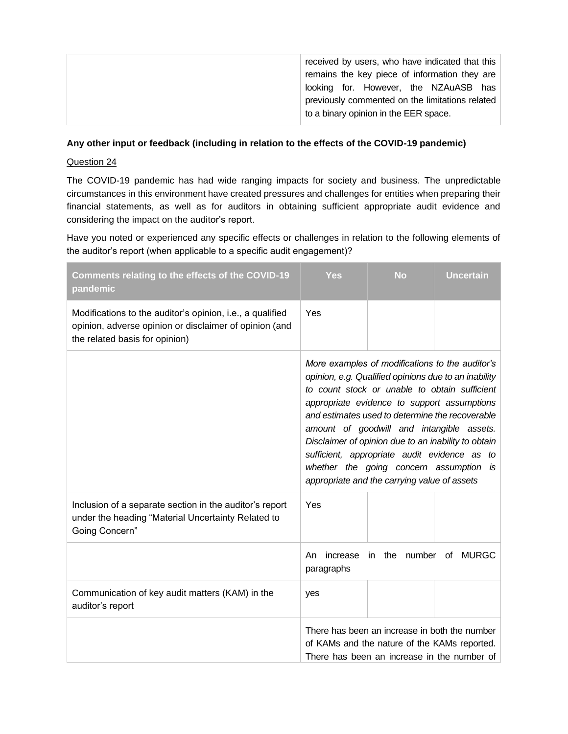| received by users, who have indicated that this<br>remains the key piece of information they are<br>looking for. However, the NZAuASB has |
|-------------------------------------------------------------------------------------------------------------------------------------------|
| previously commented on the limitations related<br>to a binary opinion in the EER space.                                                  |

#### **Any other input or feedback (including in relation to the effects of the COVID-19 pandemic)**

#### Question 24

The COVID-19 pandemic has had wide ranging impacts for society and business. The unpredictable circumstances in this environment have created pressures and challenges for entities when preparing their financial statements, as well as for auditors in obtaining sufficient appropriate audit evidence and considering the impact on the auditor's report.

Have you noted or experienced any specific effects or challenges in relation to the following elements of the auditor's report (when applicable to a specific audit engagement)?

| Comments relating to the effects of the COVID-19<br>pandemic                                                                                          | <b>Yes</b>                                                                                                                                                                                                                                                                                                                                                                                                                                                                                                | <b>No</b> | <b>Uncertain</b> |  |
|-------------------------------------------------------------------------------------------------------------------------------------------------------|-----------------------------------------------------------------------------------------------------------------------------------------------------------------------------------------------------------------------------------------------------------------------------------------------------------------------------------------------------------------------------------------------------------------------------------------------------------------------------------------------------------|-----------|------------------|--|
| Modifications to the auditor's opinion, i.e., a qualified<br>opinion, adverse opinion or disclaimer of opinion (and<br>the related basis for opinion) | Yes                                                                                                                                                                                                                                                                                                                                                                                                                                                                                                       |           |                  |  |
|                                                                                                                                                       | More examples of modifications to the auditor's<br>opinion, e.g. Qualified opinions due to an inability<br>to count stock or unable to obtain sufficient<br>appropriate evidence to support assumptions<br>and estimates used to determine the recoverable<br>amount of goodwill and intangible assets.<br>Disclaimer of opinion due to an inability to obtain<br>sufficient, appropriate audit evidence as to<br>whether the going concern assumption is<br>appropriate and the carrying value of assets |           |                  |  |
| Inclusion of a separate section in the auditor's report<br>under the heading "Material Uncertainty Related to<br>Going Concern"                       | Yes                                                                                                                                                                                                                                                                                                                                                                                                                                                                                                       |           |                  |  |
|                                                                                                                                                       | number<br><b>MURGC</b><br>the<br>of<br>An<br>increase<br>in.<br>paragraphs                                                                                                                                                                                                                                                                                                                                                                                                                                |           |                  |  |
| Communication of key audit matters (KAM) in the<br>auditor's report                                                                                   | yes                                                                                                                                                                                                                                                                                                                                                                                                                                                                                                       |           |                  |  |
|                                                                                                                                                       | There has been an increase in both the number<br>of KAMs and the nature of the KAMs reported.<br>There has been an increase in the number of                                                                                                                                                                                                                                                                                                                                                              |           |                  |  |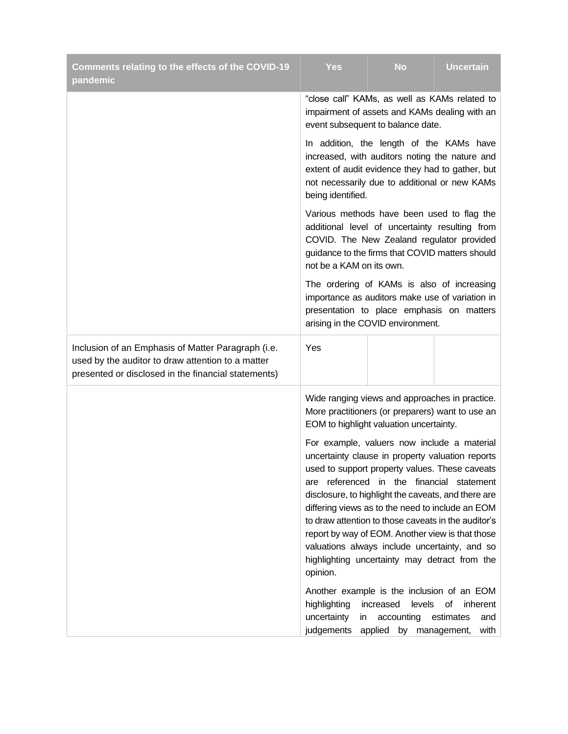| Comments relating to the effects of the COVID-19<br>pandemic                                                                                                   | Yes                                                                                                                                                                                                                                                                                                                                                                                                                                                                                                                                                                                                                                                                                                                                                                                                                                                                       | <b>No</b> | <b>Uncertain</b>        |  |
|----------------------------------------------------------------------------------------------------------------------------------------------------------------|---------------------------------------------------------------------------------------------------------------------------------------------------------------------------------------------------------------------------------------------------------------------------------------------------------------------------------------------------------------------------------------------------------------------------------------------------------------------------------------------------------------------------------------------------------------------------------------------------------------------------------------------------------------------------------------------------------------------------------------------------------------------------------------------------------------------------------------------------------------------------|-----------|-------------------------|--|
|                                                                                                                                                                | "close call" KAMs, as well as KAMs related to<br>impairment of assets and KAMs dealing with an<br>event subsequent to balance date.<br>In addition, the length of the KAMs have<br>increased, with auditors noting the nature and<br>extent of audit evidence they had to gather, but<br>not necessarily due to additional or new KAMs<br>being identified.<br>Various methods have been used to flag the<br>additional level of uncertainty resulting from<br>COVID. The New Zealand regulator provided<br>guidance to the firms that COVID matters should<br>not be a KAM on its own.<br>The ordering of KAMs is also of increasing<br>importance as auditors make use of variation in<br>presentation to place emphasis on matters<br>arising in the COVID environment.                                                                                                |           |                         |  |
|                                                                                                                                                                |                                                                                                                                                                                                                                                                                                                                                                                                                                                                                                                                                                                                                                                                                                                                                                                                                                                                           |           |                         |  |
|                                                                                                                                                                |                                                                                                                                                                                                                                                                                                                                                                                                                                                                                                                                                                                                                                                                                                                                                                                                                                                                           |           |                         |  |
|                                                                                                                                                                |                                                                                                                                                                                                                                                                                                                                                                                                                                                                                                                                                                                                                                                                                                                                                                                                                                                                           |           |                         |  |
| Inclusion of an Emphasis of Matter Paragraph (i.e.<br>used by the auditor to draw attention to a matter<br>presented or disclosed in the financial statements) | Yes                                                                                                                                                                                                                                                                                                                                                                                                                                                                                                                                                                                                                                                                                                                                                                                                                                                                       |           |                         |  |
|                                                                                                                                                                | Wide ranging views and approaches in practice.<br>More practitioners (or preparers) want to use an<br>EOM to highlight valuation uncertainty.<br>For example, valuers now include a material<br>uncertainty clause in property valuation reports<br>used to support property values. These caveats<br>referenced in the financial statement<br>are<br>disclosure, to highlight the caveats, and there are<br>differing views as to the need to include an EOM<br>to draw attention to those caveats in the auditor's<br>report by way of EOM. Another view is that those<br>valuations always include uncertainty, and so<br>highlighting uncertainty may detract from the<br>opinion.<br>Another example is the inclusion of an EOM<br>increased<br>levels<br>highlighting<br>0f<br>uncertainty<br>accounting<br>estimates<br>in<br>judgements<br>applied by management, |           | inherent<br>and<br>with |  |